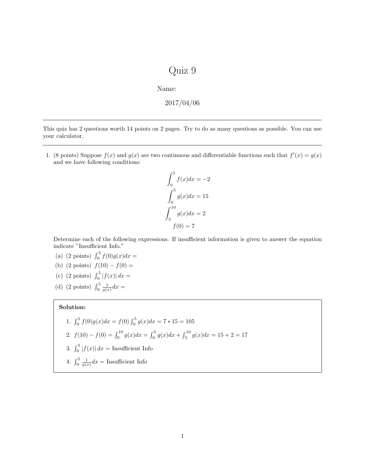## Quiz 9

Name:

2017/04/06

This quiz has 2 questions worth 14 points on 2 pages. Try to do as many questions as possible. You can use your calculator.

1. (8 points) Suppose  $f(x)$  and  $g(x)$  are two continuous and differentiable functions such that  $f'(x) = g(x)$ and we have following conditions:

$$
\int_0^5 f(x)dx = -2
$$

$$
\int_0^5 g(x)dx = 15
$$

$$
\int_5^{10} g(x)dx = 2
$$

$$
f(0) = 7
$$

Determine each of the following expressions. If insufficient information is given to answer the equation indicate "Insufficient Info."

- (a) (2 points)  $\int_0^5 f(0)g(x)dx =$
- (b) (2 points)  $f(10) f(0) =$
- (c) (2 points)  $\int_0^5 |f(x)| dx =$
- (d) (2 points)  $\int_0^5 \frac{1}{g(x)} dx =$

## Solution:

1. 
$$
\int_0^5 f(0)g(x)dx = f(0) \int_0^5 g(x)dx = 7 * 15 = 105
$$
  
\n2.  $f(10) - f(0) = \int_0^{10} g(x)dx = \int_0^5 g(x)dx + \int_5^{10} g(x)dx = 15 + 2 = 17$   
\n3.  $\int_0^5 |f(x)| dx =$  Insufficient Info  
\n4.  $\int_0^5 \frac{1}{g(x)}dx =$  Insufficient Info